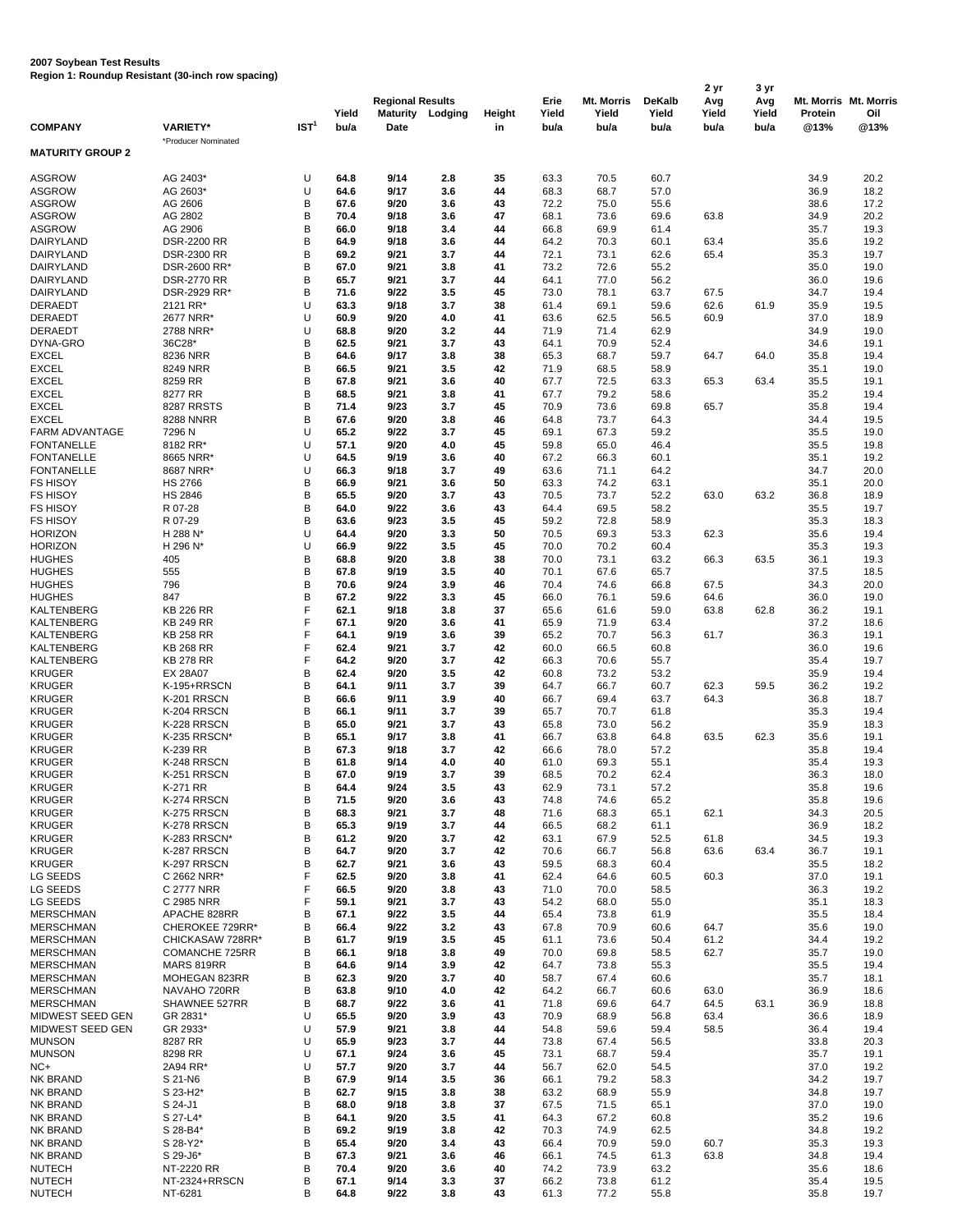## **2007 Soybean Test Results Region 1: Roundup Resistant (30-inch row spacing)**

|                                            |                                        |                  | Yield        | <b>Regional Results</b><br><b>Maturity</b> | Lodging    | Height   | Erie<br>Yield | Mt. Morris<br>Yield | <b>DeKalb</b><br>Yield | 2 yr<br>Avg<br>Yield | 3 yr<br>Avg<br>Yield | Protein      | Mt. Morris Mt. Morris<br>Oil |
|--------------------------------------------|----------------------------------------|------------------|--------------|--------------------------------------------|------------|----------|---------------|---------------------|------------------------|----------------------|----------------------|--------------|------------------------------|
| <b>COMPANY</b>                             | <b>VARIETY*</b><br>*Producer Nominated | IST <sup>1</sup> | bu/a         | Date                                       |            | in       | bu/a          | bu/a                | bu/a                   | bu/a                 | bu/a                 | @13%         | @13%                         |
| <b>MATURITY GROUP 2</b>                    |                                        |                  |              |                                            |            |          |               |                     |                        |                      |                      |              |                              |
| <b>ASGROW</b>                              | AG 2403*                               | U                | 64.8         | 9/14                                       | 2.8        | 35       | 63.3          | 70.5                | 60.7                   |                      |                      | 34.9         | 20.2                         |
| <b>ASGROW</b>                              | AG 2603*                               | U                | 64.6         | 9/17                                       | 3.6        | 44       | 68.3          | 68.7                | 57.0                   |                      |                      | 36.9         | 18.2                         |
| <b>ASGROW</b><br><b>ASGROW</b>             | AG 2606                                | В<br>B           | 67.6<br>70.4 | 9/20<br>9/18                               | 3.6<br>3.6 | 43<br>47 | 72.2<br>68.1  | 75.0<br>73.6        | 55.6<br>69.6           |                      |                      | 38.6<br>34.9 | 17.2<br>20.2                 |
| <b>ASGROW</b>                              | AG 2802<br>AG 2906                     | В                | 66.0         | 9/18                                       | 3.4        | 44       | 66.8          | 69.9                | 61.4                   | 63.8                 |                      | 35.7         | 19.3                         |
| DAIRYLAND                                  | <b>DSR-2200 RR</b>                     | B                | 64.9         | 9/18                                       | 3.6        | 44       | 64.2          | 70.3                | 60.1                   | 63.4                 |                      | 35.6         | 19.2                         |
| DAIRYLAND                                  | <b>DSR-2300 RR</b>                     | B                | 69.2         | 9/21                                       | 3.7        | 44       | 72.1          | 73.1                | 62.6                   | 65.4                 |                      | 35.3         | 19.7                         |
| DAIRYLAND                                  | DSR-2600 RR*                           | В                | 67.0         | 9/21                                       | 3.8        | 41       | 73.2          | 72.6                | 55.2                   |                      |                      | 35.0         | 19.0                         |
| DAIRYLAND                                  | <b>DSR-2770 RR</b>                     | B                | 65.7         | 9/21                                       | 3.7        | 44       | 64.1          | 77.0                | 56.2                   |                      |                      | 36.0         | 19.6                         |
| <b>DAIRYLAND</b>                           | DSR-2929 RR*                           | B                | 71.6         | 9/22                                       | 3.5        | 45       | 73.0          | 78.1                | 63.7                   | 67.5                 |                      | 34.7         | 19.4                         |
| <b>DERAEDT</b>                             | 2121 RR*                               | U                | 63.3         | 9/18                                       | 3.7        | 38       | 61.4          | 69.1                | 59.6                   | 62.6                 | 61.9                 | 35.9         | 19.5                         |
| DERAEDT<br>DERAEDT                         | 2677 NRR'<br>2788 NRR*                 | U<br>U           | 60.9<br>68.8 | 9/20<br>9/20                               | 4.0<br>3.2 | 41<br>44 | 63.6<br>71.9  | 62.5<br>71.4        | 56.5<br>62.9           | 60.9                 |                      | 37.0<br>34.9 | 18.9<br>19.0                 |
| DYNA-GRO                                   | 36C28*                                 | B                | 62.5         | 9/21                                       | 3.7        | 43       | 64.1          | 70.9                | 52.4                   |                      |                      | 34.6         | 19.1                         |
| <b>EXCEL</b>                               | 8236 NRR                               | B                | 64.6         | 9/17                                       | 3.8        | 38       | 65.3          | 68.7                | 59.7                   | 64.7                 | 64.0                 | 35.8         | 19.4                         |
| <b>EXCEL</b>                               | 8249 NRR                               | B                | 66.5         | 9/21                                       | 3.5        | 42       | 71.9          | 68.5                | 58.9                   |                      |                      | 35.1         | 19.0                         |
| <b>EXCEL</b>                               | 8259 RR                                | B                | 67.8         | 9/21                                       | 3.6        | 40       | 67.7          | 72.5                | 63.3                   | 65.3                 | 63.4                 | 35.5         | 19.1                         |
| <b>EXCEL</b>                               | 8277 RR                                | B                | 68.5         | 9/21                                       | 3.8        | 41       | 67.7          | 79.2                | 58.6                   |                      |                      | 35.2         | 19.4                         |
| <b>EXCEL</b>                               | <b>8287 RRSTS</b>                      | В                | 71.4         | 9/23                                       | 3.7        | 45       | 70.9          | 73.6                | 69.8                   | 65.7                 |                      | 35.8         | 19.4                         |
| <b>EXCEL</b>                               | <b>8288 NNRR</b>                       | B                | 67.6         | 9/20                                       | 3.8        | 46       | 64.8          | 73.7                | 64.3                   |                      |                      | 34.4         | 19.5                         |
| <b>FARM ADVANTAGE</b><br><b>FONTANELLE</b> | 7296 N<br>8182 RR*                     | U<br>U           | 65.2<br>57.1 | 9/22<br>9/20                               | 3.7<br>4.0 | 45<br>45 | 69.1<br>59.8  | 67.3<br>65.0        | 59.2<br>46.4           |                      |                      | 35.5<br>35.5 | 19.0<br>19.8                 |
| <b>FONTANELLE</b>                          | 8665 NRR'                              | U                | 64.5         | 9/19                                       | 3.6        | 40       | 67.2          | 66.3                | 60.1                   |                      |                      | 35.1         | 19.2                         |
| <b>FONTANELLE</b>                          | 8687 NRR*                              | U                | 66.3         | 9/18                                       | 3.7        | 49       | 63.6          | 71.1                | 64.2                   |                      |                      | 34.7         | 20.0                         |
| <b>FS HISOY</b>                            | <b>HS 2766</b>                         | B                | 66.9         | 9/21                                       | 3.6        | 50       | 63.3          | 74.2                | 63.1                   |                      |                      | 35.1         | 20.0                         |
| <b>FS HISOY</b>                            | <b>HS 2846</b>                         | B                | 65.5         | 9/20                                       | 3.7        | 43       | 70.5          | 73.7                | 52.2                   | 63.0                 | 63.2                 | 36.8         | 18.9                         |
| <b>FS HISOY</b>                            | R 07-28                                | B                | 64.0         | 9/22                                       | 3.6        | 43       | 64.4          | 69.5                | 58.2                   |                      |                      | 35.5         | 19.7                         |
| <b>FS HISOY</b>                            | R 07-29                                | B                | 63.6         | 9/23                                       | 3.5        | 45       | 59.2          | 72.8                | 58.9                   |                      |                      | 35.3         | 18.3                         |
| <b>HORIZON</b>                             | H 288 N'                               | U                | 64.4         | 9/20                                       | 3.3        | 50       | 70.5          | 69.3                | 53.3                   | 62.3                 |                      | 35.6         | 19.4                         |
| <b>HORIZON</b>                             | H 296 N*                               | U<br>B           | 66.9<br>68.8 | 9/22<br>9/20                               | 3.5        | 45<br>38 | 70.0<br>70.0  | 70.2<br>73.1        | 60.4                   |                      |                      | 35.3         | 19.3<br>19.3                 |
| <b>HUGHES</b><br><b>HUGHES</b>             | 405<br>555                             | B                | 67.8         | 9/19                                       | 3.8<br>3.5 | 40       | 70.1          | 67.6                | 63.2<br>65.7           | 66.3                 | 63.5                 | 36.1<br>37.5 | 18.5                         |
| <b>HUGHES</b>                              | 796                                    | B                | 70.6         | 9/24                                       | 3.9        | 46       | 70.4          | 74.6                | 66.8                   | 67.5                 |                      | 34.3         | 20.0                         |
| <b>HUGHES</b>                              | 847                                    | B                | 67.2         | 9/22                                       | 3.3        | 45       | 66.0          | 76.1                | 59.6                   | 64.6                 |                      | 36.0         | 19.0                         |
| KALTENBERG                                 | <b>KB 226 RR</b>                       | F                | 62.1         | 9/18                                       | 3.8        | 37       | 65.6          | 61.6                | 59.0                   | 63.8                 | 62.8                 | 36.2         | 19.1                         |
| <b>KALTENBERG</b>                          | <b>KB 249 RR</b>                       | F                | 67.1         | 9/20                                       | 3.6        | 41       | 65.9          | 71.9                | 63.4                   |                      |                      | 37.2         | 18.6                         |
| KALTENBERG                                 | <b>KB 258 RR</b>                       | F                | 64.1         | 9/19                                       | 3.6        | 39       | 65.2          | 70.7                | 56.3                   | 61.7                 |                      | 36.3         | 19.1                         |
| <b>KALTENBERG</b>                          | <b>KB 268 RR</b>                       | F                | 62.4         | 9/21                                       | 3.7        | 42       | 60.0          | 66.5                | 60.8                   |                      |                      | 36.0         | 19.6                         |
| <b>KALTENBERG</b>                          | <b>KB 278 RR</b>                       | F                | 64.2         | 9/20                                       | 3.7        | 42       | 66.3          | 70.6                | 55.7                   |                      |                      | 35.4         | 19.7                         |
| <b>KRUGER</b><br><b>KRUGER</b>             | <b>EX 28A07</b><br>K-195+RRSCN         | B<br>B           | 62.4<br>64.1 | 9/20<br>9/11                               | 3.5<br>3.7 | 42<br>39 | 60.8<br>64.7  | 73.2<br>66.7        | 53.2<br>60.7           | 62.3                 | 59.5                 | 35.9<br>36.2 | 19.4<br>19.2                 |
| <b>KRUGER</b>                              | K-201 RRSCN                            | В                | 66.6         | 9/11                                       | 3.9        | 40       | 66.7          | 69.4                | 63.7                   | 64.3                 |                      | 36.8         | 18.7                         |
| <b>KRUGER</b>                              | K-204 RRSCN                            | B                | 66.1         | 9/11                                       | 3.7        | 39       | 65.7          | 70.7                | 61.8                   |                      |                      | 35.3         | 19.4                         |
| <b>KRUGER</b>                              | K-228 RRSCN                            | B                | 65.0         | 9/21                                       | 3.7        | 43       | 65.8          | 73.0                | 56.2                   |                      |                      | 35.9         | 18.3                         |
| <b>KRUGER</b>                              | K-235 RRSCN*                           | B                | 65.1         | 9/17                                       | 3.8        | 41       | 66.7          | 63.8                | 64.8                   | 63.5                 | 62.3                 | 35.6         | 19.1                         |
| <b>KRUGER</b>                              | K-239 RR                               | B                | 67.3         | 9/18                                       | 3.7        | 42       | 66.6          | 78.0                | 57.2                   |                      |                      | 35.8         | 19.4                         |
| <b>KRUGER</b>                              | K-248 RRSCN                            | B                | 61.8         | 9/14                                       | 4.0        | 40       | 61.0          | 69.3                | 55.1                   |                      |                      | 35.4         | 19.3                         |
| <b>KRUGER</b>                              | K-251 RRSCN                            | B                | 67.0         | 9/19                                       | 3.7        | 39       | 68.5          | 70.2                | 62.4                   |                      |                      | 36.3         | 18.0                         |
| <b>KRUGER</b><br><b>KRUGER</b>             | K-271 RR                               | В<br>B           | 64.4<br>71.5 | 9/24<br>9/20                               | 3.5        | 43       | 62.9          | 73.1                | 57.2                   |                      |                      | 35.8         | 19.6                         |
| <b>KRUGER</b>                              | K-274 RRSCN<br>K-275 RRSCN             | B                | 68.3         | 9/21                                       | 3.6<br>3.7 | 43<br>48 | 74.8<br>71.6  | 74.6<br>68.3        | 65.2<br>65.1           | 62.1                 |                      | 35.8<br>34.3 | 19.6<br>20.5                 |
| <b>KRUGER</b>                              | K-278 RRSCN                            | B                | 65.3         | 9/19                                       | 3.7        | 44       | 66.5          | 68.2                | 61.1                   |                      |                      | 36.9         | 18.2                         |
| <b>KRUGER</b>                              | K-283 RRSCN*                           | B                | 61.2         | 9/20                                       | 3.7        | 42       | 63.1          | 67.9                | 52.5                   | 61.8                 |                      | 34.5         | 19.3                         |
| <b>KRUGER</b>                              | K-287 RRSCN                            | B                | 64.7         | 9/20                                       | 3.7        | 42       | 70.6          | 66.7                | 56.8                   | 63.6                 | 63.4                 | 36.7         | 19.1                         |
| <b>KRUGER</b>                              | K-297 RRSCN                            | B                | 62.7         | 9/21                                       | 3.6        | 43       | 59.5          | 68.3                | 60.4                   |                      |                      | 35.5         | 18.2                         |
| LG SEEDS                                   | C 2662 NRR*                            | F                | 62.5         | 9/20                                       | 3.8        | 41       | 62.4          | 64.6                | 60.5                   | 60.3                 |                      | 37.0         | 19.1                         |
| LG SEEDS                                   | C 2777 NRR                             | F                | 66.5         | 9/20                                       | 3.8        | 43       | 71.0          | 70.0                | 58.5                   |                      |                      | 36.3         | 19.2                         |
| LG SEEDS                                   | C 2985 NRR                             | F                | 59.1         | 9/21                                       | 3.7        | 43       | 54.2          | 68.0                | 55.0                   |                      |                      | 35.1         | 18.3                         |
| <b>MERSCHMAN</b><br><b>MERSCHMAN</b>       | APACHE 828RR                           | B<br>B           | 67.1         | 9/22                                       | 3.5<br>3.2 | 44<br>43 | 65.4          | 73.8                | 61.9                   |                      |                      | 35.5         | 18.4                         |
| <b>MERSCHMAN</b>                           | CHEROKEE 729RR*<br>CHICKASAW 728RR*    | B                | 66.4<br>61.7 | 9/22<br>9/19                               | 3.5        | 45       | 67.8<br>61.1  | 70.9<br>73.6        | 60.6<br>50.4           | 64.7<br>61.2         |                      | 35.6<br>34.4 | 19.0<br>19.2                 |
| <b>MERSCHMAN</b>                           | COMANCHE 725RR                         | B                | 66.1         | 9/18                                       | 3.8        | 49       | 70.0          | 69.8                | 58.5                   | 62.7                 |                      | 35.7         | 19.0                         |
| <b>MERSCHMAN</b>                           | MARS 819RR                             | B                | 64.6         | 9/14                                       | 3.9        | 42       | 64.7          | 73.8                | 55.3                   |                      |                      | 35.5         | 19.4                         |
| <b>MERSCHMAN</b>                           | MOHEGAN 823RR                          | B                | 62.3         | 9/20                                       | 3.7        | 40       | 58.7          | 67.4                | 60.6                   |                      |                      | 35.7         | 18.1                         |
| <b>MERSCHMAN</b>                           | NAVAHO 720RR                           | B                | 63.8         | 9/10                                       | 4.0        | 42       | 64.2          | 66.7                | 60.6                   | 63.0                 |                      | 36.9         | 18.6                         |
| <b>MERSCHMAN</b>                           | SHAWNEE 527RR                          | B                | 68.7         | 9/22                                       | 3.6        | 41       | 71.8          | 69.6                | 64.7                   | 64.5                 | 63.1                 | 36.9         | 18.8                         |
| MIDWEST SEED GEN                           | GR 2831*                               | U                | 65.5         | 9/20                                       | 3.9        | 43       | 70.9          | 68.9                | 56.8                   | 63.4                 |                      | 36.6         | 18.9                         |
| MIDWEST SEED GEN                           | GR 2933*                               | U                | 57.9         | 9/21                                       | 3.8        | 44       | 54.8          | 59.6                | 59.4                   | 58.5                 |                      | 36.4         | 19.4                         |
| <b>MUNSON</b><br><b>MUNSON</b>             | 8287 RR<br>8298 RR                     | U<br>U           | 65.9<br>67.1 | 9/23<br>9/24                               | 3.7<br>3.6 | 44<br>45 | 73.8<br>73.1  | 67.4<br>68.7        | 56.5<br>59.4           |                      |                      | 33.8<br>35.7 | 20.3<br>19.1                 |
| $NC+$                                      | 2A94 RR*                               | U                | 57.7         | 9/20                                       | 3.7        | 44       | 56.7          | 62.0                | 54.5                   |                      |                      | 37.0         | 19.2                         |
| <b>NK BRAND</b>                            | S 21-N6                                | B                | 67.9         | 9/14                                       | 3.5        | 36       | 66.1          | 79.2                | 58.3                   |                      |                      | 34.2         | 19.7                         |
| <b>NK BRAND</b>                            | S 23-H2*                               | B                | 62.7         | 9/15                                       | 3.8        | 38       | 63.2          | 68.9                | 55.9                   |                      |                      | 34.8         | 19.7                         |
| NK BRAND                                   | S 24-J1                                | В                | 68.0         | 9/18                                       | 3.8        | 37       | 67.5          | 71.5                | 65.1                   |                      |                      | 37.0         | 19.0                         |
| <b>NK BRAND</b>                            | S 27-L4*                               | B                | 64.1         | 9/20                                       | 3.5        | 41       | 64.3          | 67.2                | 60.8                   |                      |                      | 35.2         | 19.6                         |
| <b>NK BRAND</b>                            | S 28-B4*                               | В                | 69.2         | 9/19                                       | 3.8        | 42       | 70.3          | 74.9                | 62.5                   |                      |                      | 34.8         | 19.2                         |
| <b>NK BRAND</b>                            | S 28-Y2*                               | B                | 65.4         | 9/20                                       | 3.4        | 43       | 66.4          | 70.9                | 59.0                   | 60.7                 |                      | 35.3         | 19.3                         |
| <b>NK BRAND</b>                            | S 29-J6*                               | B                | 67.3         | 9/21                                       | 3.6        | 46       | 66.1          | 74.5                | 61.3                   | 63.8                 |                      | 34.8         | 19.4                         |
| <b>NUTECH</b>                              | NT-2220 RR                             | B<br>В           | 70.4         | 9/20                                       | 3.6        | 40       | 74.2          | 73.9                | 63.2                   |                      |                      | 35.6         | 18.6                         |
| <b>NUTECH</b><br><b>NUTECH</b>             | NT-2324+RRSCN<br>NT-6281               | B                | 67.1<br>64.8 | 9/14<br>9/22                               | 3.3<br>3.8 | 37<br>43 | 66.2<br>61.3  | 73.8<br>77.2        | 61.2<br>55.8           |                      |                      | 35.4<br>35.8 | 19.5<br>19.7                 |